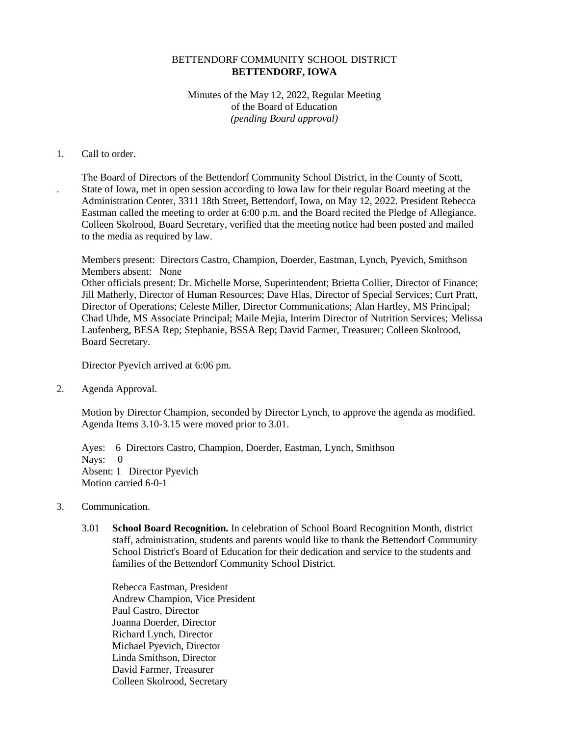# BETTENDORF COMMUNITY SCHOOL DISTRICT **BETTENDORF, IOWA**

# Minutes of the May 12, 2022, Regular Meeting of the Board of Education *(pending Board approval)*

#### 1. Call to order.

.

The Board of Directors of the Bettendorf Community School District, in the County of Scott, State of Iowa, met in open session according to Iowa law for their regular Board meeting at the Administration Center, 3311 18th Street, Bettendorf, Iowa, on May 12, 2022. President Rebecca Eastman called the meeting to order at 6:00 p.m. and the Board recited the Pledge of Allegiance. Colleen Skolrood, Board Secretary, verified that the meeting notice had been posted and mailed to the media as required by law.

Members present: Directors Castro, Champion, Doerder, Eastman, Lynch, Pyevich, Smithson Members absent: None Other officials present: Dr. Michelle Morse, Superintendent; Brietta Collier, Director of Finance; Jill Matherly, Director of Human Resources; Dave Hlas, Director of Special Services; Curt Pratt, Director of Operations; Celeste Miller, Director Communications; Alan Hartley, MS Principal; Chad Uhde, MS Associate Principal; Maile Mejia, Interim Director of Nutrition Services; Melissa Laufenberg, BESA Rep; Stephanie, BSSA Rep; David Farmer, Treasurer; Colleen Skolrood, Board Secretary.

Director Pyevich arrived at 6:06 pm.

2. Agenda Approval.

Motion by Director Champion, seconded by Director Lynch, to approve the agenda as modified. Agenda Items 3.10-3.15 were moved prior to 3.01.

Ayes: 6 Directors Castro, Champion, Doerder, Eastman, Lynch, Smithson Nays: 0 Absent: 1 Director Pyevich Motion carried 6-0-1

- 3. Communication.
	- 3.01 **School Board Recognition.** In celebration of School Board Recognition Month, district staff, administration, students and parents would like to thank the Bettendorf Community School District's Board of Education for their dedication and service to the students and families of the Bettendorf Community School District.

Rebecca Eastman, President Andrew Champion, Vice President Paul Castro, Director Joanna Doerder, Director Richard Lynch, Director Michael Pyevich, Director Linda Smithson, Director David Farmer, Treasurer Colleen Skolrood, Secretary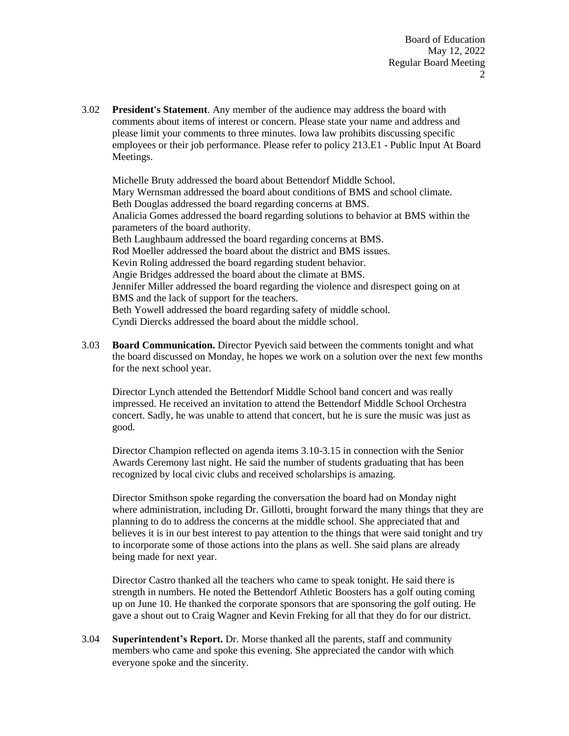3.02 **President's Statement**. Any member of the audience may address the board with comments about items of interest or concern. Please state your name and address and please limit your comments to three minutes. Iowa law prohibits discussing specific employees or their job performance. Please refer to policy 213.E1 - Public Input At Board Meetings.

Michelle Bruty addressed the board about Bettendorf Middle School. Mary Wernsman addressed the board about conditions of BMS and school climate. Beth Douglas addressed the board regarding concerns at BMS. Analicia Gomes addressed the board regarding solutions to behavior at BMS within the parameters of the board authority. Beth Laughbaum addressed the board regarding concerns at BMS. Rod Moeller addressed the board about the district and BMS issues. Kevin Roling addressed the board regarding student behavior. Angie Bridges addressed the board about the climate at BMS. Jennifer Miller addressed the board regarding the violence and disrespect going on at BMS and the lack of support for the teachers. Beth Yowell addressed the board regarding safety of middle school. Cyndi Diercks addressed the board about the middle school.

3.03 **Board Communication.** Director Pyevich said between the comments tonight and what the board discussed on Monday, he hopes we work on a solution over the next few months for the next school year.

Director Lynch attended the Bettendorf Middle School band concert and was really impressed. He received an invitation to attend the Bettendorf Middle School Orchestra concert. Sadly, he was unable to attend that concert, but he is sure the music was just as good.

Director Champion reflected on agenda items 3.10-3.15 in connection with the Senior Awards Ceremony last night. He said the number of students graduating that has been recognized by local civic clubs and received scholarships is amazing.

Director Smithson spoke regarding the conversation the board had on Monday night where administration, including Dr. Gillotti, brought forward the many things that they are planning to do to address the concerns at the middle school. She appreciated that and believes it is in our best interest to pay attention to the things that were said tonight and try to incorporate some of those actions into the plans as well. She said plans are already being made for next year.

Director Castro thanked all the teachers who came to speak tonight. He said there is strength in numbers. He noted the Bettendorf Athletic Boosters has a golf outing coming up on June 10. He thanked the corporate sponsors that are sponsoring the golf outing. He gave a shout out to Craig Wagner and Kevin Freking for all that they do for our district.

3.04 **Superintendent's Report.** Dr. Morse thanked all the parents, staff and community members who came and spoke this evening. She appreciated the candor with which everyone spoke and the sincerity.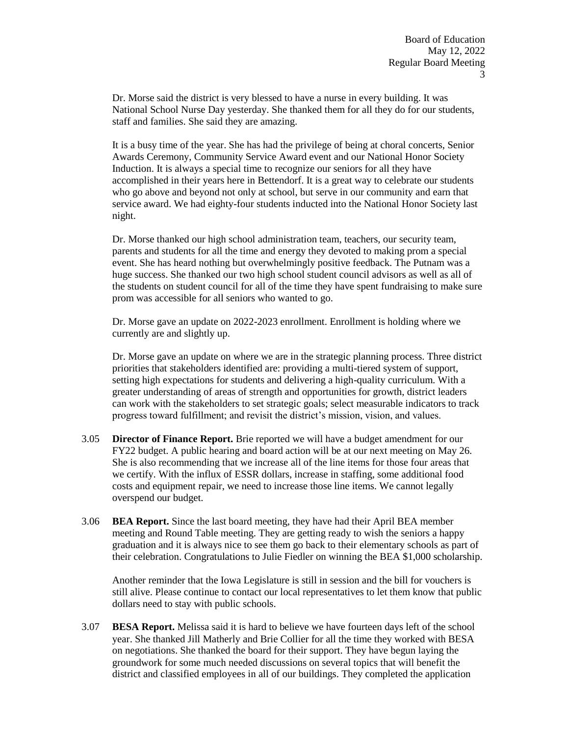Dr. Morse said the district is very blessed to have a nurse in every building. It was National School Nurse Day yesterday. She thanked them for all they do for our students, staff and families. She said they are amazing.

It is a busy time of the year. She has had the privilege of being at choral concerts, Senior Awards Ceremony, Community Service Award event and our National Honor Society Induction. It is always a special time to recognize our seniors for all they have accomplished in their years here in Bettendorf. It is a great way to celebrate our students who go above and beyond not only at school, but serve in our community and earn that service award. We had eighty-four students inducted into the National Honor Society last night.

Dr. Morse thanked our high school administration team, teachers, our security team, parents and students for all the time and energy they devoted to making prom a special event. She has heard nothing but overwhelmingly positive feedback. The Putnam was a huge success. She thanked our two high school student council advisors as well as all of the students on student council for all of the time they have spent fundraising to make sure prom was accessible for all seniors who wanted to go.

Dr. Morse gave an update on 2022-2023 enrollment. Enrollment is holding where we currently are and slightly up.

Dr. Morse gave an update on where we are in the strategic planning process. Three district priorities that stakeholders identified are: providing a multi-tiered system of support, setting high expectations for students and delivering a high-quality curriculum. With a greater understanding of areas of strength and opportunities for growth, district leaders can work with the stakeholders to set strategic goals; select measurable indicators to track progress toward fulfillment; and revisit the district's mission, vision, and values.

- 3.05 **Director of Finance Report.** Brie reported we will have a budget amendment for our FY22 budget. A public hearing and board action will be at our next meeting on May 26. She is also recommending that we increase all of the line items for those four areas that we certify. With the influx of ESSR dollars, increase in staffing, some additional food costs and equipment repair, we need to increase those line items. We cannot legally overspend our budget.
- 3.06 **BEA Report.** Since the last board meeting, they have had their April BEA member meeting and Round Table meeting. They are getting ready to wish the seniors a happy graduation and it is always nice to see them go back to their elementary schools as part of their celebration. Congratulations to Julie Fiedler on winning the BEA \$1,000 scholarship.

Another reminder that the Iowa Legislature is still in session and the bill for vouchers is still alive. Please continue to contact our local representatives to let them know that public dollars need to stay with public schools.

3.07 **BESA Report.** Melissa said it is hard to believe we have fourteen days left of the school year. She thanked Jill Matherly and Brie Collier for all the time they worked with BESA on negotiations. She thanked the board for their support. They have begun laying the groundwork for some much needed discussions on several topics that will benefit the district and classified employees in all of our buildings. They completed the application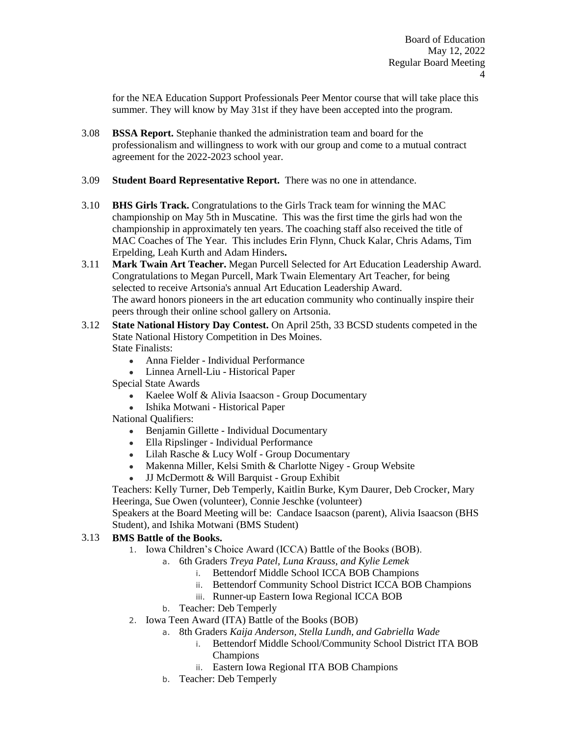for the NEA Education Support Professionals Peer Mentor course that will take place this summer. They will know by May 31st if they have been accepted into the program.

- 3.08 **BSSA Report.** Stephanie thanked the administration team and board for the professionalism and willingness to work with our group and come to a mutual contract agreement for the 2022-2023 school year.
- 3.09 **Student Board Representative Report.** There was no one in attendance.
- 3.10 **BHS Girls Track.** Congratulations to the Girls Track team for winning the MAC championship on May 5th in Muscatine. This was the first time the girls had won the championship in approximately ten years. The coaching staff also received the title of MAC Coaches of The Year. This includes Erin Flynn, Chuck Kalar, Chris Adams, Tim Erpelding, Leah Kurth and Adam Hinders**.**
- 3.11 **Mark Twain Art Teacher.** Megan Purcell Selected for Art Education Leadership Award. Congratulations to Megan Purcell, Mark Twain Elementary Art Teacher, for being selected to receive Artsonia's annual Art Education Leadership Award. The award honors pioneers in the art education community who continually inspire their peers through their online school gallery on Artsonia.
- 3.12 **State National History Day Contest.** On April 25th, 33 BCSD students competed in the State National History Competition in Des Moines. State Finalists:
	- Anna Fielder Individual Performance
	- Linnea Arnell-Liu Historical Paper
	- Special State Awards
		- Kaelee Wolf & Alivia Isaacson Group Documentary
		- Ishika Motwani Historical Paper
	- National Qualifiers:
		- Benjamin Gillette Individual Documentary
		- Ella Ripslinger Individual Performance
		- Lilah Rasche & Lucy Wolf Group Documentary
		- Makenna Miller, Kelsi Smith & Charlotte Nigey Group Website
		- JJ McDermott & Will Barquist Group Exhibit

Teachers: Kelly Turner, Deb Temperly, Kaitlin Burke, Kym Daurer, Deb Crocker, Mary Heeringa, Sue Owen (volunteer), Connie Jeschke (volunteer)

Speakers at the Board Meeting will be: Candace Isaacson (parent), Alivia Isaacson (BHS Student), and Ishika Motwani (BMS Student)

## 3.13 **BMS Battle of the Books.**

- 1. Iowa Children's Choice Award (ICCA) Battle of the Books (BOB).
	- a. 6th Graders *Treya Patel, Luna Krauss, and Kylie Lemek*
		- i. Bettendorf Middle School ICCA BOB Champions
		- ii. Bettendorf Community School District ICCA BOB Champions
		- iii. Runner-up Eastern Iowa Regional ICCA BOB
	- b. Teacher: Deb Temperly
- 2. Iowa Teen Award (ITA) Battle of the Books (BOB)
	- a. 8th Graders *Kaija Anderson, Stella Lundh, and Gabriella Wade*
		- i. Bettendorf Middle School/Community School District ITA BOB Champions
		- ii. Eastern Iowa Regional ITA BOB Champions
	- b. Teacher: Deb Temperly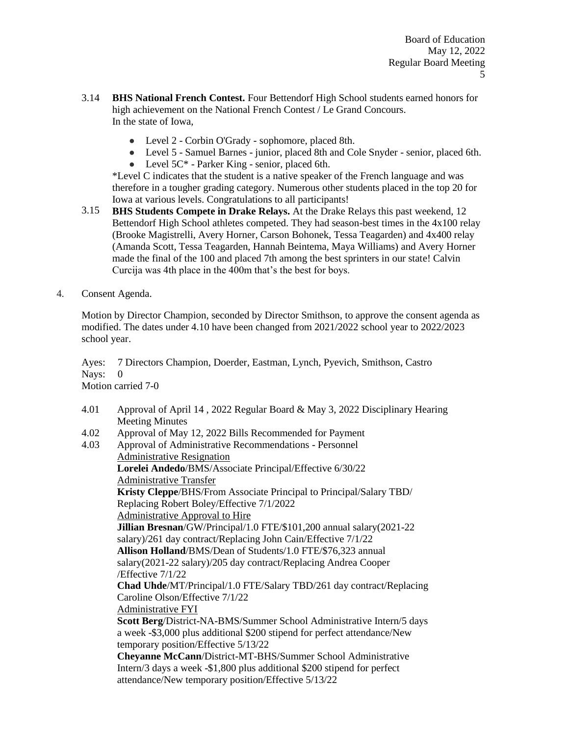- 3.14 **BHS National French Contest.** Four Bettendorf High School students earned honors for high achievement on the National French Contest / Le Grand Concours. In the state of Iowa,
	- Level 2 Corbin O'Grady sophomore, placed 8th.
	- Level 5 Samuel Barnes junior, placed 8th and Cole Snyder senior, placed 6th.
	- Level  $5C^*$  Parker King senior, placed 6th.

\*Level C indicates that the student is a native speaker of the French language and was therefore in a tougher grading category. Numerous other students placed in the top 20 for Iowa at various levels. Congratulations to all participants!

- 3.15 **BHS Students Compete in Drake Relays.** At the Drake Relays this past weekend, 12 Bettendorf High School athletes competed. They had season-best times in the  $4x100$  relay (Brooke Magistrelli, Avery Horner, Carson Bohonek, Tessa Teagarden) and 4x400 relay (Amanda Scott, Tessa Teagarden, Hannah Beintema, Maya Williams) and Avery Horner made the final of the 100 and placed 7th among the best sprinters in our state! Calvin Curcija was 4th place in the 400m that's the best for boys.
- 4. Consent Agenda.

Motion by Director Champion, seconded by Director Smithson, to approve the consent agenda as modified. The dates under 4.10 have been changed from 2021/2022 school year to 2022/2023 school year.

Ayes: 7 Directors Champion, Doerder, Eastman, Lynch, Pyevich, Smithson, Castro Navs: 0 Motion carried 7-0

- 4.01 Approval of April 14 , 2022 Regular Board & May 3, 2022 Disciplinary Hearing Meeting Minutes
- 4.02 Approval of May 12, 2022 Bills Recommended for Payment
- 4.03 Approval of Administrative Recommendations - Personnel Administrative Resignation **Lorelei Andedo**/BMS/Associate Principal/Effective 6/30/22

Administrative Transfer **Kristy Cleppe**/BHS/From Associate Principal to Principal/Salary TBD/ Replacing Robert Boley/Effective 7/1/2022 Administrative Approval to Hire **Jillian Bresnan**/GW/Principal/1.0 FTE/\$101,200 annual salary(2021-22 salary)/261 day contract/Replacing John Cain/Effective 7/1/22 **Allison Holland**/BMS/Dean of Students/1.0 FTE/\$76,323 annual salary(2021-22 salary)/205 day contract/Replacing Andrea Cooper /Effective 7/1/22 **Chad Uhde**/MT/Principal/1.0 FTE/Salary TBD/261 day contract/Replacing Caroline Olson/Effective 7/1/22 Administrative FYI **Scott Berg**/District-NA-BMS/Summer School Administrative Intern/5 days a week -\$3,000 plus additional \$200 stipend for perfect attendance/New temporary position/Effective 5/13/22

**Cheyanne McCann**/District-MT-BHS/Summer School Administrative Intern/3 days a week -\$1,800 plus additional \$200 stipend for perfect attendance/New temporary position/Effective 5/13/22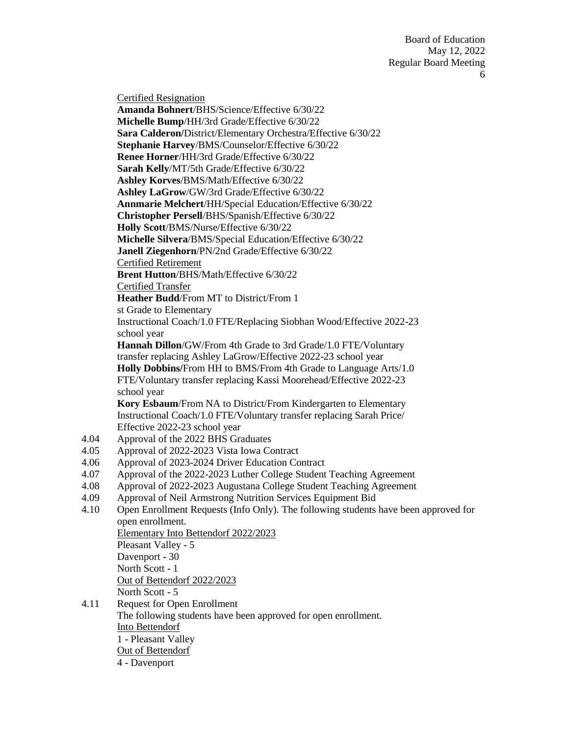Board of Education May 12, 2022 Regular Board Meeting 6

Certified Resignation **Amanda Bohnert**/BHS/Science/Effective 6/30/22 **Michelle Bump**/HH/3rd Grade/Effective 6/30/22 **Sara Calderon/**District/Elementary Orchestra/Effective 6/30/22 **Stephanie Harvey**/BMS/Counselor/Effective 6/30/22 **Renee Horner**/HH/3rd Grade/Effective 6/30/22 **Sarah Kelly**/MT/5th Grade/Effective 6/30/22 **Ashley Korves**/BMS/Math/Effective 6/30/22 **Ashley LaGrow**/GW/3rd Grade/Effective 6/30/22 **Annmarie Melchert**/HH/Special Education/Effective 6/30/22 **Christopher Persell**/BHS/Spanish/Effective 6/30/22 **Holly Scott**/BMS/Nurse/Effective 6/30/22 **Michelle Silvera**/BMS/Special Education/Effective 6/30/22 **Janell Ziegenhorn**/PN/2nd Grade/Effective 6/30/22 Certified Retirement **Brent Hutton**/BHS/Math/Effective 6/30/22 Certified Transfer **Heather Budd**/From MT to District/From 1 st Grade to Elementary Instructional Coach/1.0 FTE/Replacing Siobhan Wood/Effective 2022-23 school year **Hannah Dillon**/GW/From 4th Grade to 3rd Grade/1.0 FTE/Voluntary transfer replacing Ashley LaGrow/Effective 2022-23 school year **Holly Dobbins/**From HH to BMS/From 4th Grade to Language Arts/1.0 FTE/Voluntary transfer replacing Kassi Moorehead/Effective 2022-23 school year **Kory Esbaum**/From NA to District/From Kindergarten to Elementary Instructional Coach/1.0 FTE/Voluntary transfer replacing Sarah Price/ Effective 2022-23 school year Approval of the 2022 BHS Graduates Approval of 2022-2023 Vista Iowa Contract Approval of 2023-2024 Driver Education Contract Approval of the 2022-2023 Luther College Student Teaching Agreement Approval of 2022-2023 Augustana College Student Teaching Agreement Approval of Neil Armstrong Nutrition Services Equipment Bid Open Enrollment Requests (Info Only). The following students have been approved for open enrollment. Elementary Into Bettendorf 2022/2023 Pleasant Valley - 5 Davenport - 30 North Scott - 1 Out of Bettendorf 2022/2023 North Scott - 5 Request for Open Enrollment The following students have been approved for open enrollment. Into Bettendorf 1 - Pleasant Valley

- Out of Bettendorf
- 4 Davenport

4.04 4.05 4.06 4.07 4.08 4.09 4.10

4.11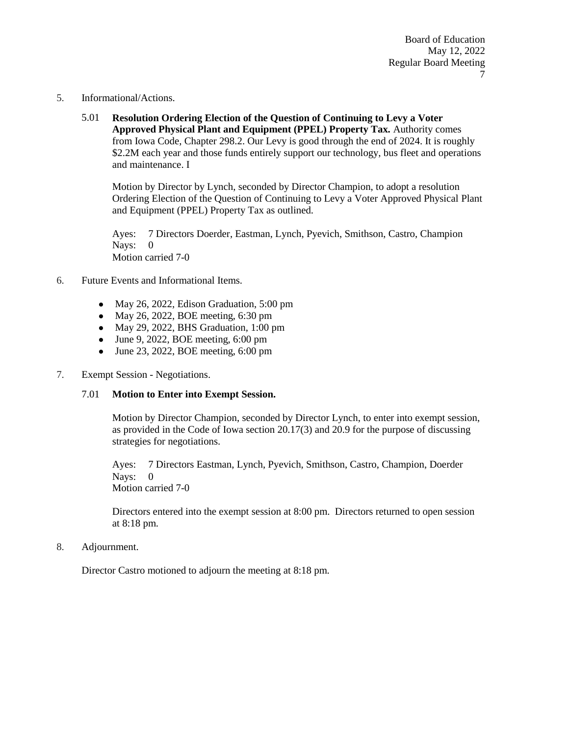- 5. Informational/Actions.
	- 5.01 **Resolution Ordering Election of the Question of Continuing to Levy a Voter Approved Physical Plant and Equipment (PPEL) Property Tax.** Authority comes from Iowa Code, Chapter 298.2. Our Levy is good through the end of 2024. It is roughly \$2.2M each year and those funds entirely support our technology, bus fleet and operations and maintenance. I

Motion by Director by Lynch, seconded by Director Champion, to adopt a resolution Ordering Election of the Question of Continuing to Levy a Voter Approved Physical Plant and Equipment (PPEL) Property Tax as outlined.

Ayes: 7 Directors Doerder, Eastman, Lynch, Pyevich, Smithson, Castro, Champion Nays: 0 Motion carried 7-0

- 6. Future Events and Informational Items.
	- May 26, 2022, Edison Graduation, 5:00 pm
	- May 26, 2022, BOE meeting, 6:30 pm
	- May 29, 2022, BHS Graduation, 1:00 pm
	- $\bullet$  June 9, 2022, BOE meeting, 6:00 pm
	- June 23, 2022, BOE meeting,  $6:00 \text{ pm}$
- 7. Exempt Session Negotiations.

### 7.01 **Motion to Enter into Exempt Session.**

Motion by Director Champion, seconded by Director Lynch, to enter into exempt session, as provided in the Code of Iowa section 20.17(3) and 20.9 for the purpose of discussing strategies for negotiations.

Ayes: 7 Directors Eastman, Lynch, Pyevich, Smithson, Castro, Champion, Doerder Nays: 0 Motion carried 7-0

Directors entered into the exempt session at 8:00 pm. Directors returned to open session at 8:18 pm.

8. Adjournment.

Director Castro motioned to adjourn the meeting at 8:18 pm.